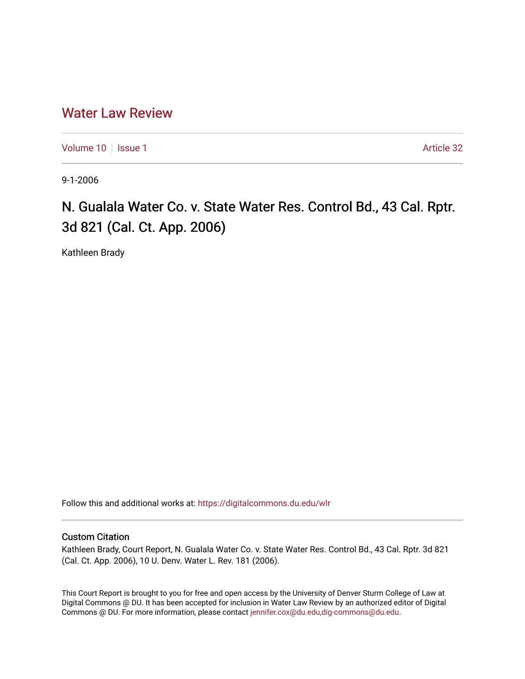# [Water Law Review](https://digitalcommons.du.edu/wlr)

[Volume 10](https://digitalcommons.du.edu/wlr/vol10) | [Issue 1](https://digitalcommons.du.edu/wlr/vol10/iss1) Article 32

9-1-2006

# N. Gualala Water Co. v. State Water Res. Control Bd., 43 Cal. Rptr. 3d 821 (Cal. Ct. App. 2006)

Kathleen Brady

Follow this and additional works at: [https://digitalcommons.du.edu/wlr](https://digitalcommons.du.edu/wlr?utm_source=digitalcommons.du.edu%2Fwlr%2Fvol10%2Fiss1%2F32&utm_medium=PDF&utm_campaign=PDFCoverPages) 

# Custom Citation

Kathleen Brady, Court Report, N. Gualala Water Co. v. State Water Res. Control Bd., 43 Cal. Rptr. 3d 821 (Cal. Ct. App. 2006), 10 U. Denv. Water L. Rev. 181 (2006).

This Court Report is brought to you for free and open access by the University of Denver Sturm College of Law at Digital Commons @ DU. It has been accepted for inclusion in Water Law Review by an authorized editor of Digital Commons @ DU. For more information, please contact [jennifer.cox@du.edu,dig-commons@du.edu.](mailto:jennifer.cox@du.edu,dig-commons@du.edu)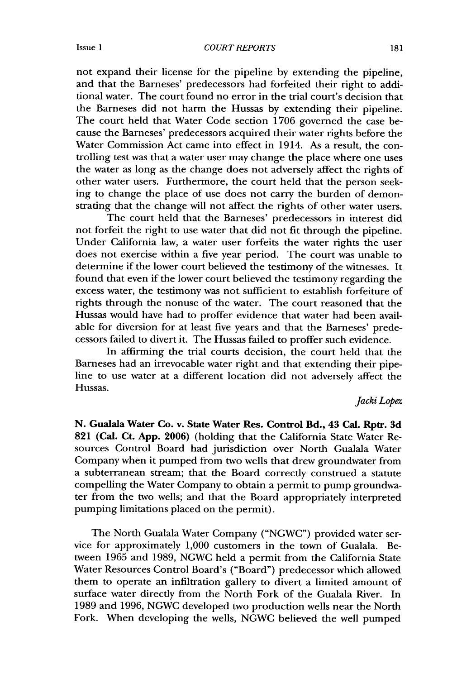#### *COURT REPORTS*

not expand their license for the pipeline by extending the pipeline, and that the Barneses' predecessors had forfeited their right to additional water. The court found no error in the trial court's decision that the Barneses did not harm the Hussas by extending their pipeline. The court held that Water Code section 1706 governed the case because the Barneses' predecessors acquired their water rights before the Water Commission Act came into effect in 1914. As a result, the controlling test was that a water user may change the place where one uses the water as long as the change does not adversely affect the rights of other water users. Furthermore, the court held that the person seeking to change the place of use does not carry the burden of demonstrating that the change will not affect the rights of other water users.

The court held that the Barneses' predecessors in interest did not forfeit the right to use water that did not fit through the pipeline. Under California law, a water user forfeits the water rights the user does not exercise within a five year period. The court was unable to determine if the lower court believed the testimony of the witnesses. It found that even if the lower court believed the testimony regarding the excess water, the testimony was not sufficient to establish forfeiture of rights through the nonuse of the water. The court reasoned that the Hussas would have had to proffer evidence that water had been available for diversion for at least five years and that the Barneses' predecessors failed to divert it. The Hussas failed to proffer such evidence.

In affirming the trial courts decision, the court held that the Barneses had an irrevocable water right and that extending their pipeline to use water at a different location did not adversely affect the Hussas.

## *Jacki Lopez*

**N. Gualala Water Co. v. State Water Res. Control Bd., 43 Cal. Rptr. 3d 821** (Cal. Ct. **App. 2006)** (holding that the California State Water Resources Control Board had jurisdiction over North Gualala Water Company when it pumped from two wells that drew groundwater from a subterranean stream; that the Board correctly construed a statute compelling the Water Company to obtain a permit to pump groundwater from the two wells; and that the Board appropriately interpreted pumping limitations placed on the permit).

The North Gualala Water Company ("NGWC") provided water service for approximately 1,000 customers in the town of Gualala. Between 1965 and 1989, NGWC held a permit from the California State Water Resources Control Board's ("Board") predecessor which allowed them to operate an infiltration gallery to divert a limited amount of surface water directly from the North Fork of the Gualala River. In 1989 and 1996, NGWC developed two production wells near the North Fork. When developing the wells, NGWC believed the well pumped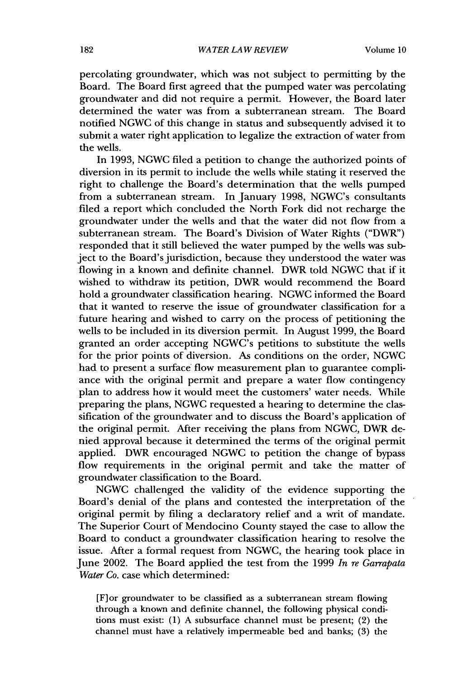percolating groundwater, which was not subject to permitting by the Board. The Board first agreed that the pumped water was percolating groundwater and did not require a permit. However, the Board later determined the water was from a subterranean stream. The Board notified NGWC of this change in status and subsequently advised it to submit a water right application to legalize the extraction of water from the wells.

In 1993, NGWC filed a petition to change the authorized points of diversion in its permit to include the wells while stating it reserved the right to challenge the Board's determination that the wells pumped from a subterranean stream. In January 1998, NGWC's consultants filed a report which concluded the North Fork did not recharge the groundwater under the wells and that the water did not flow from a subterranean stream. The Board's Division of Water Rights ("DWR") responded that it still believed the water pumped by the wells was subject to the Board's jurisdiction, because they understood the water was flowing in a known and definite channel. DWR told NGWC that if it wished to withdraw its petition, DWR would recommend the Board hold a groundwater classification hearing. NGWC informed the Board that it wanted to reserve the issue of groundwater classification for a future hearing and wished to carry on the process of petitioning the wells to be included in its diversion permit. In August 1999, the Board granted an order accepting NGWC's petitions to substitute the wells for the prior points of diversion. As conditions on the order, NGWC had to present a surface flow measurement plan to guarantee compliance with the original permit and prepare a water flow contingency plan to address how it would meet the customers' water needs. While preparing the plans, NGWC requested a hearing to determine the classification of the groundwater and to discuss the Board's application of the original permit. After receiving the plans from NGWC, DWR denied approval because it determined the terms of the original permit applied. DWR encouraged NGWC to petition the change of bypass flow requirements in the original permit and take the matter of groundwater classification to the Board.

NGWC challenged the validity of the evidence supporting the Board's denial of the plans and contested the interpretation of the original permit by filing a declaratory relief and a writ of mandate. The Superior Court of Mendocino County stayed the case to allow the Board to conduct a groundwater classification hearing to resolve the issue. After a formal request from NGWC, the hearing took place in June 2002. The Board applied the test from the 1999 *In re Garrapata Water Co.* case which determined:

[F]or groundwater to be classified as a subterranean stream flowing through a known and definite channel, the following physical conditions must exist: (1) A subsurface channel must be present; (2) the channel must have a relatively impermeable bed and banks; (3) the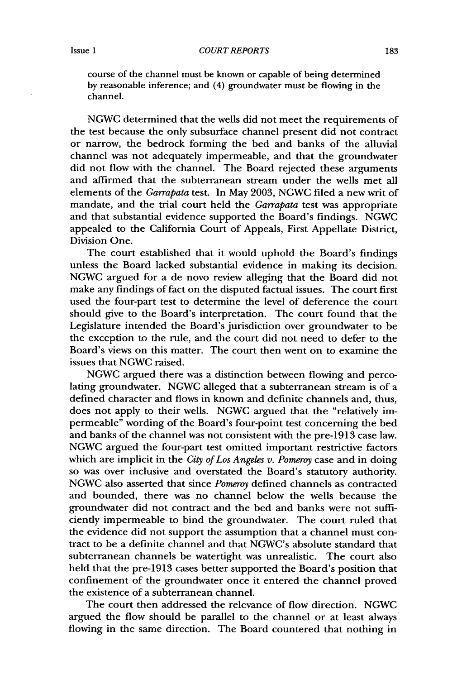course of the channel must be known or capable of being determined by reasonable inference; and (4) groundwater must be flowing in the channel.

NGWC determined that the wells did not meet the requirements of the test because the only subsurface channel present did not contract or narrow, the bedrock forming the bed and banks of the alluvial channel was not adequately impermeable, and that the groundwater did not flow with the channel. The Board rejected these arguments and affirmed that the subterranean stream under the wells met all elements of the *Garrapata* test. In May 2003, NGWC filed a new writ of mandate, and the trial court held the *Garrapata* test was appropriate and that substantial evidence supported the Board's findings. NGWC appealed to the California Court of Appeals, First Appellate District, Division One.

The court established that it would uphold the Board's findings unless the Board lacked substantial evidence in making its decision. NGWC argued for a de novo review alleging that the Board did not make any findings of fact on the disputed factual issues. The court first used the four-part test to determine the level of deference the court should give to the Board's interpretation. The court found that the Legislature intended the Board's jurisdiction over groundwater to be the exception to the rule, and the court did not need to defer to the Board's views on this matter. The court then went on to examine the issues that NGWC raised.

NGWC argued there was a distinction between flowing and percolating groundwater. NGWC alleged that a subterranean stream is of a defined character and flows in known and definite channels and, thus, does not apply to their wells. NGWC argued that the "relatively impermeable" wording of the Board's four-point test concerning the bed and banks of the channel was not consistent with the pre-1913 case law. NGWC argued the four-part test omitted important restrictive factors which are implicit in the *City of Los Angeles v. Pomeroy* case and in doing so was over inclusive and overstated the Board's statutory authority. NGWC also asserted that since *Pomeroy* defined channels as contracted and bounded, there was no channel below the wells because the groundwater did not contract and the bed and banks were not sufficiently impermeable to bind the groundwater. The court ruled that the evidence did not support the assumption that a channel must contract to be a definite channel and that NGWC's absolute standard that subterranean channels be watertight was unrealistic. The court also held that the pre-1913 cases better supported the Board's position that confinement of the groundwater once it entered the channel proved the existence of a subterranean channel.

The court then addressed the relevance of flow direction. NGWC argued the flow should be parallel to the channel or at least always flowing in the same direction. The Board countered that nothing in